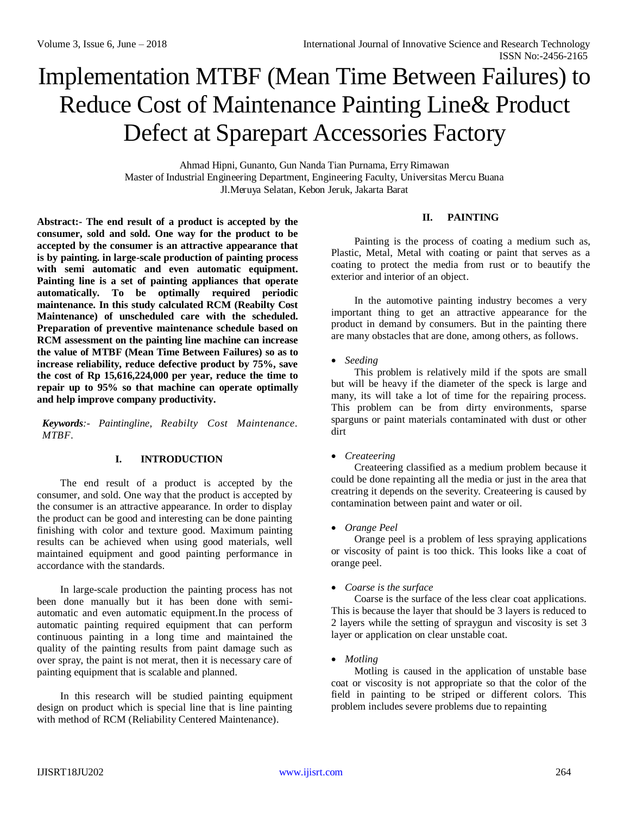# Implementation MTBF (Mean Time Between Failures) to Reduce Cost of Maintenance Painting Line& Product Defect at Sparepart Accessories Factory

Ahmad Hipni, Gunanto, Gun Nanda Tian Purnama, ErryRimawan Master of Industrial Engineering Department, Engineering Faculty, Universitas Mercu Buana Jl.Meruya Selatan, Kebon Jeruk, Jakarta Barat

## **II. PAINTING**

**Abstract:- The end result of a product is accepted by the consumer, sold and sold. One way for the product to be accepted by the consumer is an attractive appearance that is by painting. in large-scale production of painting process with semi automatic and even automatic equipment. Painting line is a set of painting appliances that operate automatically. To be optimally required periodic maintenance. In this study calculated RCM (Reabilty Cost Maintenance) of unscheduled care with the scheduled. Preparation of preventive maintenance schedule based on RCM assessment on the painting line machine can increase the value of MTBF (Mean Time Between Failures) so as to increase reliability, reduce defective product by 75%, save the cost of Rp 15,616,224,000 per year, reduce the time to repair up to 95% so that machine can operate optimally and help improve company productivity.**

*Keywords:- Paintingline, Reabilty Cost Maintenance. MTBF.*

## **I. INTRODUCTION**

The end result of a product is accepted by the consumer, and sold. One way that the product is accepted by the consumer is an attractive appearance. In order to display the product can be good and interesting can be done painting finishing with color and texture good. Maximum painting results can be achieved when using good materials, well maintained equipment and good painting performance in accordance with the standards.

In large-scale production the painting process has not been done manually but it has been done with semiautomatic and even automatic equipment.In the process of automatic painting required equipment that can perform continuous painting in a long time and maintained the quality of the painting results from paint damage such as over spray, the paint is not merat, then it is necessary care of painting equipment that is scalable and planned.

In this research will be studied painting equipment design on product which is special line that is line painting with method of RCM (Reliability Centered Maintenance).

Painting is the process of coating a medium such as, Plastic, Metal, Metal with coating or paint that serves as a coating to protect the media from rust or to beautify the exterior and interior of an object.

In the automotive painting industry becomes a very important thing to get an attractive appearance for the product in demand by consumers. But in the painting there are many obstacles that are done, among others, as follows.

#### *Seeding*

This problem is relatively mild if the spots are small but will be heavy if the diameter of the speck is large and many, its will take a lot of time for the repairing process. This problem can be from dirty environments, sparse sparguns or paint materials contaminated with dust or other dirt

#### *Createering*

Createering classified as a medium problem because it could be done repainting all the media or just in the area that creatring it depends on the severity. Createering is caused by contamination between paint and water or oil.

#### *Orange Peel*

Orange peel is a problem of less spraying applications or viscosity of paint is too thick. This looks like a coat of orange peel.

#### *Coarse is the surface*

Coarse is the surface of the less clear coat applications. This is because the layer that should be 3 layers is reduced to 2 layers while the setting of spraygun and viscosity is set 3 layer or application on clear unstable coat.

#### *Motling*

Motling is caused in the application of unstable base coat or viscosity is not appropriate so that the color of the field in painting to be striped or different colors. This problem includes severe problems due to repainting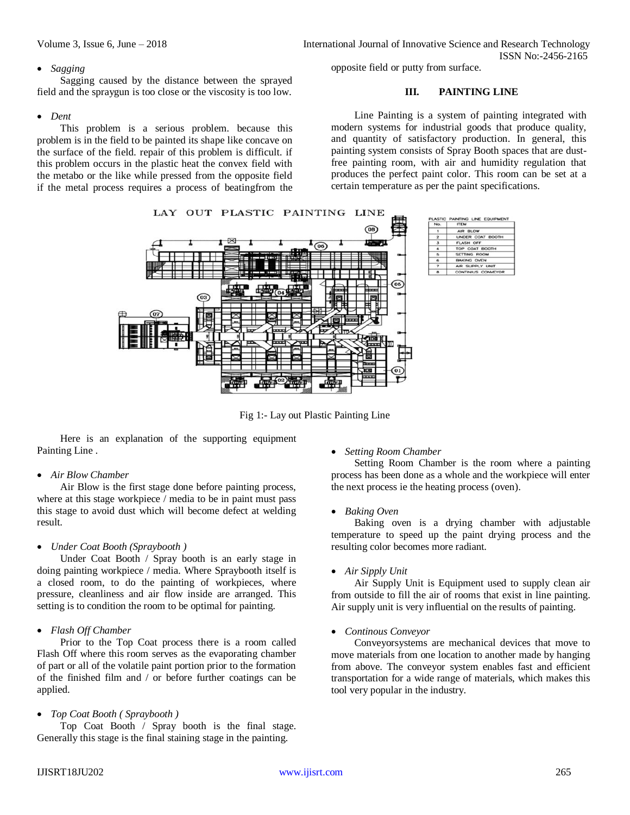#### *Sagging*

Sagging caused by the distance between the sprayed field and the spraygun is too close or the viscosity is too low.

## *Dent*

This problem is a serious problem. because this problem is in the field to be painted its shape like concave on the surface of the field. repair of this problem is difficult. if this problem occurs in the plastic heat the convex field with the metabo or the like while pressed from the opposite field if the metal process requires a process of beatingfrom the

opposite field or putty from surface.

## **III. PAINTING LINE**

Line Painting is a system of painting integrated with modern systems for industrial goods that produce quality, and quantity of satisfactory production. In general, this painting system consists of Spray Booth spaces that are dustfree painting room, with air and humidity regulation that produces the perfect paint color. This room can be set at a certain temperature as per the paint specifications.



Fig 1:- Lay out Plastic Painting Line

Here is an explanation of the supporting equipment Painting Line .

## *Air Blow Chamber*

Air Blow is the first stage done before painting process, where at this stage workpiece / media to be in paint must pass this stage to avoid dust which will become defect at welding result.

#### *Under Coat Booth (Spraybooth )*

Under Coat Booth / Spray booth is an early stage in doing painting workpiece / media. Where Spraybooth itself is a closed room, to do the painting of workpieces, where pressure, cleanliness and air flow inside are arranged. This setting is to condition the room to be optimal for painting.

## *Flash Off Chamber*

Prior to the Top Coat process there is a room called Flash Off where this room serves as the evaporating chamber of part or all of the volatile paint portion prior to the formation of the finished film and / or before further coatings can be applied.

## *Top Coat Booth ( Spraybooth )*

Top Coat Booth / Spray booth is the final stage. Generally this stage is the final staining stage in the painting.

## *Setting Room Chamber*

Setting Room Chamber is the room where a painting process has been done as a whole and the workpiece will enter the next process ie the heating process (oven).

## *Baking Oven*

Baking oven is a drying chamber with adjustable temperature to speed up the paint drying process and the resulting color becomes more radiant.

*Air Sipply Unit*

Air Supply Unit is Equipment used to supply clean air from outside to fill the air of rooms that exist in line painting. Air supply unit is very influential on the results of painting.

#### *Continous Conveyor*

Conveyorsystems are mechanical devices that move to move materials from one location to another made by hanging from above. The conveyor system enables fast and efficient transportation for a wide range of materials, which makes this tool very popular in the industry.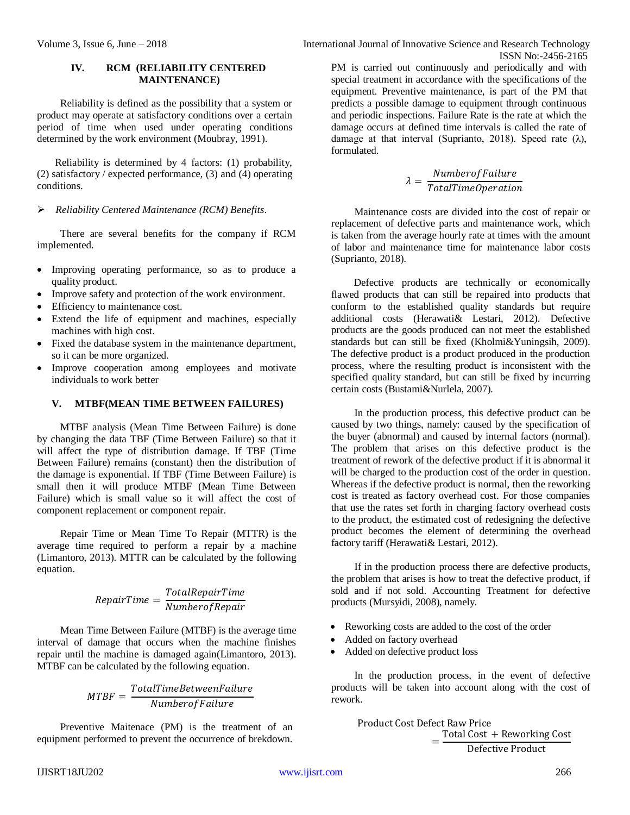## **IV. RCM (RELIABILITY CENTERED MAINTENANCE)**

Reliability is defined as the possibility that a system or product may operate at satisfactory conditions over a certain period of time when used under operating conditions determined by the work environment (Moubray, 1991).

Reliability is determined by 4 factors: (1) probability, (2) satisfactory / expected performance, (3) and (4) operating conditions.

## *Reliability Centered Maintenance (RCM) Benefits.*

There are several benefits for the company if RCM implemented.

- Improving operating performance, so as to produce a quality product.
- Improve safety and protection of the work environment.
- Efficiency to maintenance cost.
- Extend the life of equipment and machines, especially machines with high cost.
- Fixed the database system in the maintenance department, so it can be more organized.
- Improve cooperation among employees and motivate individuals to work better

## **V. MTBF(MEAN TIME BETWEEN FAILURES)**

MTBF analysis (Mean Time Between Failure) is done by changing the data TBF (Time Between Failure) so that it will affect the type of distribution damage. If TBF (Time Between Failure) remains (constant) then the distribution of the damage is exponential. If TBF (Time Between Failure) is small then it will produce MTBF (Mean Time Between Failure) which is small value so it will affect the cost of component replacement or component repair.

Repair Time or Mean Time To Repair (MTTR) is the average time required to perform a repair by a machine (Limantoro, 2013). MTTR can be calculated by the following equation.

$$
RepairTime = \frac{TotalRepairTime}{Number of Repair}
$$

Mean Time Between Failure (MTBF) is the average time interval of damage that occurs when the machine finishes repair until the machine is damaged again(Limantoro, 2013). MTBF can be calculated by the following equation.

$$
MTBF = \frac{TotalTimeBetween Failure}{Number of Failure}
$$

Preventive Maitenace (PM) is the treatment of an equipment performed to prevent the occurrence of brekdown.

PM is carried out continuously and periodically and with special treatment in accordance with the specifications of the equipment. Preventive maintenance, is part of the PM that predicts a possible damage to equipment through continuous and periodic inspections. Failure Rate is the rate at which the damage occurs at defined time intervals is called the rate of damage at that interval (Suprianto, 2018). Speed rate  $(\lambda)$ , formulated.

$$
\lambda = \frac{Number of Failure}{TotalTimeOperation}
$$

Maintenance costs are divided into the cost of repair or replacement of defective parts and maintenance work, which is taken from the average hourly rate at times with the amount of labor and maintenance time for maintenance labor costs (Suprianto, 2018).

Defective products are technically or economically flawed products that can still be repaired into products that conform to the established quality standards but require additional costs (Herawati& Lestari, 2012). Defective products are the goods produced can not meet the established standards but can still be fixed (Kholmi&Yuningsih, 2009). The defective product is a product produced in the production process, where the resulting product is inconsistent with the specified quality standard, but can still be fixed by incurring certain costs (Bustami&Nurlela, 2007).

In the production process, this defective product can be caused by two things, namely: caused by the specification of the buyer (abnormal) and caused by internal factors (normal). The problem that arises on this defective product is the treatment of rework of the defective product if it is abnormal it will be charged to the production cost of the order in question. Whereas if the defective product is normal, then the reworking cost is treated as factory overhead cost. For those companies that use the rates set forth in charging factory overhead costs to the product, the estimated cost of redesigning the defective product becomes the element of determining the overhead factory tariff (Herawati& Lestari, 2012).

If in the production process there are defective products, the problem that arises is how to treat the defective product, if sold and if not sold. Accounting Treatment for defective products (Mursyidi, 2008), namely.

- Reworking costs are added to the cost of the order
- Added on factory overhead
- Added on defective product loss

In the production process, in the event of defective products will be taken into account along with the cost of rework.

> Product Cost Defect Raw Price = Total Cost + Reworking Cost Defective Product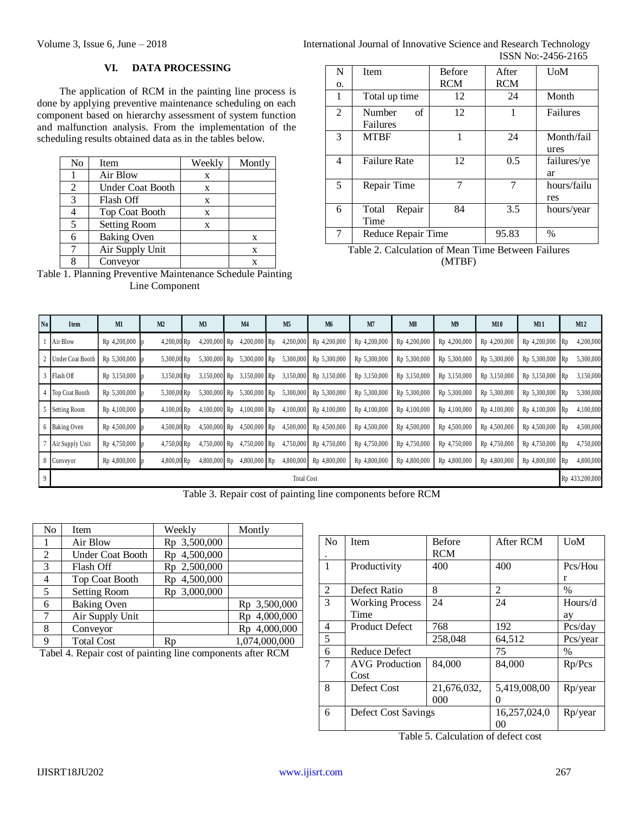## **VI. DATA PROCESSING**

The application of RCM in the painting line process is done by applying preventive maintenance scheduling on each component based on hierarchy assessment of system function and malfunction analysis. From the implementation of the scheduling results obtained data as in the tables below.

| No | Item                    | Weekly | Montly |
|----|-------------------------|--------|--------|
|    | Air Blow                | X      |        |
| 2  | <b>Under Coat Booth</b> | X      |        |
| 3  | Flash Off               | X      |        |
|    | <b>Top Coat Booth</b>   | X      |        |
| 5  | <b>Setting Room</b>     | X      |        |
|    | <b>Baking Oven</b>      |        | X      |
| 7  | Air Supply Unit         |        | X      |
| o  | Conveyor                |        | X      |

Table 1. Planning Preventive Maintenance Schedule Painting Line Component

| N  | <b>Item</b>                      | <b>Before</b> | After      | <b>U</b> oM        |
|----|----------------------------------|---------------|------------|--------------------|
| 0. |                                  | <b>RCM</b>    | <b>RCM</b> |                    |
| 1  | Total up time                    | 12            | 24         | Month              |
| 2  | $\sigma$ f<br>Number<br>Failures | 12            | 1          | Failures           |
| 3  | <b>MTBF</b>                      | 1             | 24         | Month/fail<br>ures |
| 4  | <b>Failure Rate</b>              | 12            | 0.5        | failures/ye<br>ar  |
| 5  | Repair Time                      |               |            | hours/failu<br>res |
| 6  | Repair<br>Total<br>Time          | 84            | 3.5        | hours/year         |
| 7  | Reduce Repair Time               |               | 95.83      | $\%$               |

Table 2. Calculation of Mean Time Between Failures (MTBF)

| N <sub>0</sub> | Item               | M1             | M2            | M <sub>3</sub> | M4             | M <sub>5</sub> | M <sub>6</sub> | M7             | M8           | M <sup>9</sup> | M10          | M11          | M12                    |
|----------------|--------------------|----------------|---------------|----------------|----------------|----------------|----------------|----------------|--------------|----------------|--------------|--------------|------------------------|
|                | Air Blow           | Rp 4,200,000   | $4,200,00$ Rp | $4,200,000$ Rp | 4,200,000 Rp   | 4,200,000      | Rp 4,200,000   | Rp 4,200,000   | Rp 4,200,000 | Rp 4,200,000   | Rp 4,200,000 | Rp 4,200,000 | 4,200,000<br>I Rp      |
|                | 2 Under Coat Booth | Rp 5,300,000   | 5,300,00 Rp   | 5,300,000 Rp   | 5,300,000 Rp   | 5,300,000      | Rp 5,300,000   | Rp 5,300,000   | Rp 5,300,000 | Rp 5,300,000   | Rp 5,300,000 | Rp 5,300,000 | 5,300,000              |
|                | 3 Flash Off        | Rp 3,150,000   | 3,150,00 Rp   | 3,150,000 Rp   | 3,150,000 Rp   | 3,150,000      | Rp 3,150,000   | Rp 3,150,000   | Rp 3,150,000 | Rp 3,150,000   | Rp 3,150,000 | Rp 3,150,000 | 3,150,000              |
|                | 4   Top Coat Booth | Rp 5,300,000   | 5,300,00 Rp   | 5,300,000 Rp   | 5,300,000 Rp   | 5,300,000      | Rp 5,300,000   | Rp 5,300,000   | Rp 5,300,000 | Rp 5,300,000   | Rp 5,300,000 | Rp 5,300,000 | 5,300,000<br>- Rp      |
|                | 5 Setting Room     | Rp 4,100,000   | 4,100,00 Rp   | $4,100,000$ Rp | $4,100,000$ Rp | 4,100,000      | Rp 4,100,000   | Rp 4,100,000   | Rp 4,100,000 | Rp 4,100,000   | Rp 4,100,000 | Rp 4,100,000 | 4,100,000<br>Rp        |
|                | 6 Baking Oven      | Rp 4,500,000   | 4,500,00 Rp   | 4,500,000 Rp   | 4,500,000 Rp   | 4,500,000      | Rp 4,500,000   | Rp 4,500,000   | Rp 4,500,000 | Rp 4,500,000   | Rp 4,500,000 | Rp 4,500,000 | 4,500,000<br>- Rp      |
|                | Air Supply Unit    | Rp 4,750,000 p | 4,750,00 Rp   | 4,750,000 Rp   | 4,750,000 Rp   | 4,750,000      | Rp 4,750,000   | Rp 4,750,000   | Rp 4,750,000 | Rp 4,750,000   | Rp 4,750,000 | Rp 4,750,000 | 4,750,000<br>Rp        |
|                | 8 Conveyor         | Rp 4,800,000   | 4,800,00 Rp   | 4,800,000 Rp   | $4,800,000$ Rp | 4,800,000      | Rp 4,800,000   | Rp 4,800,000   | Rp 4,800,000 | Rp 4,800,000   | Rp 4,800,000 | Rp 4,800,000 | 4,800,000<br><b>Rp</b> |
|                | <b>Total Cost</b>  |                |               |                |                |                |                | Rp 433,200,000 |              |                |              |              |                        |

Table 3. Repair cost of painting line components before RCM

| No | Item                    | Weekly       | Montly        |
|----|-------------------------|--------------|---------------|
|    | Air Blow                | Rp 3,500,000 |               |
| 2  | <b>Under Coat Booth</b> | Rp 4,500,000 |               |
| 3  | Flash Off               | Rp 2,500,000 |               |
| 4  | <b>Top Coat Booth</b>   | Rp 4,500,000 |               |
| 5  | <b>Setting Room</b>     | Rp 3,000,000 |               |
| 6  | <b>Baking Oven</b>      |              | Rp 3,500,000  |
|    | Air Supply Unit         |              | Rp 4,000,000  |
| 8  | Conveyor                |              | Rp 4,000,000  |
| Q  | <b>Total Cost</b>       | Rp           | 1,074,000,000 |

Tabel 4. Repair cost of painting line components after RCM

| N <sub>0</sub> | <b>Item</b>            | <b>Before</b> | After RCM      | UoM      |
|----------------|------------------------|---------------|----------------|----------|
|                |                        | <b>RCM</b>    |                |          |
| $\mathbf{1}$   | Productivity           | 400           | 400            | Pcs/Hou  |
|                |                        |               |                | r        |
| 2              | Defect Ratio           | 8             | $\mathfrak{D}$ | $\%$     |
| 3              | <b>Working Process</b> | 24            | 24             | Hours/d  |
|                | Time                   |               |                | ay       |
| $\overline{4}$ | <b>Product Defect</b>  | 768           | 192            | Pcs/day  |
| 5              |                        | 258,048       | 64,512         | Pcs/year |
| 6              | <b>Reduce Defect</b>   |               | 75             | $\%$     |
| 7              | <b>AVG</b> Production  | 84.000        | 84,000         | Rp/Pcs   |
|                | Cost                   |               |                |          |
| 8              | Defect Cost            | 21,676,032,   | 5,419,008,00   | Rp/year  |
|                |                        | 000           | $\theta$       |          |
| 6              | Defect Cost Savings    |               | 16,257,024,0   | Rp/year  |
|                |                        |               | 00             |          |

Table 5. Calculation of defect cost